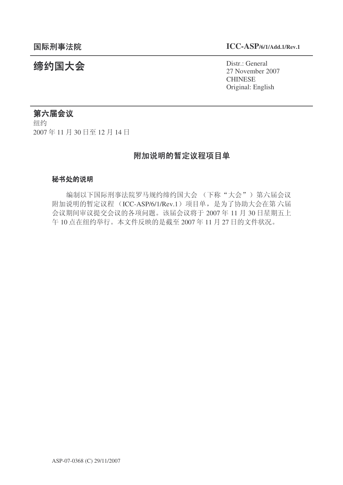# 䰙ߥџ⊩䰶 **ICC-ASP/6/1/Add.1/Rev.1**

统约国大会 Distr.: General 27 November 2007 **CHINESE** Original: English

# 第六届会议

纽约 2007年11月30日至12月14日

# 附加说明的暂定议程项目单

## 秘书处的说明

编制以下国际刑事法院罗马规约缔约国大会 (下称"大会")第六届会议 附加说明的暂定议程 (ICC-ASP/6/1/Rev.1) 项目单, 是为了协助大会在第六届 会议期间审议提交会议的各项问题。该届会议将于 2007年 11 月 30 日星期五上 午10 点在纽约举行。本文件反映的是截至 2007 年11月27日的文件状况。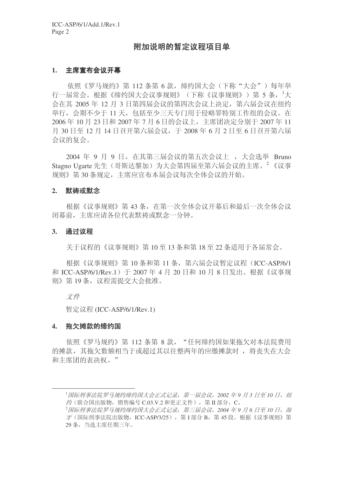# 附加说明的暂定议程项目单

### 1. 主席宣布会议开幕

依照《罗马规约》第112 条第 6 款, 缔约国大会(下称"大会")每年举 行一届常会。根据《缔约国大会议事规则》(下称《议事规则》)第5条, <sup>1</sup>大 会在其 2005年12月3日第四届会议的第四次会议上决定, 第六届会议在纽约 举行, 会期不少于 11 天, 包括至少三天专门用于侵略罪特别工作组的会议。在 2006年10月23日和2007年7月6日的会议上,主席团决定分别于2007年11 月 30 日至 12 月 14 日召开第六届会议, 于 2008 年 6 月 2 日至 6 日召开第六届 会议的复会。

2004 年 9 月 9 日, 在其第三届会议的第五次会议上, 大会选举 Bruno Stagno Ugarte 先生(哥斯达黎加)为大会第四届至第六届会议的主席。<sup>2</sup>《议事 规则》第30条规定, 主席应宣布本届会议每次全体会议的开始。

#### 2. 默祷或默念

根据《议事规则》第43条, 在第一次全体会议开幕后和最后一次全体会议 闭幕前, 主席应请各位代表默祷或默念一分钟。

#### 3. 通过议程

关于议程的《议事规则》第10至13条和第18至22条适用于各届常会。

根据《议事规则》第 10 条和第 11 条, 第六届会议暂定议程 (ICC-ASP/6/1 和 ICC-ASP/6/1/Rev.1) 于 2007 年 4 月 20 日和 10 月 8 日发出。根据《议事规 则》第19条, 议程需提交大会批准。

文件

暂定议程 (ICC-ASP/6/1/Rev.1)

#### 4. 拖欠摊款的缔约国

依照《罗马规约》第 112 条第 8 款, "任何缔约国如果拖欠对本法院费用 的摊款, 其拖欠数额相当于或超过其以往整两年的应缴摊款时, 将丧失在大会 和主席团的表决权。"

<sup>&</sup>lt;sup>1</sup>国际刑事法院罗马规约缔约国大会正式记录, 第一届会议, 2002 年9 月 3 日至 10 日, 纽  $\mathscr{L}$  (联合国出版物, 销售编号  $C_{.03}$ .V.2 和更正文件), 第 II 部分,  $C_{\circ}$ 

<sup>&</sup>lt;sup>2</sup> 国际刑事法院罗马规约缔约国大会正式记录, 第三届会议, 2004 年9 月 6 日至 10 日, 海  $\mathcal F$ (国际刑事法院出版物, ICC-ASP/3/25), 第 I 部分 B, 第 45 段。根据《议事规则》第 29 条, 当选主席任期三年。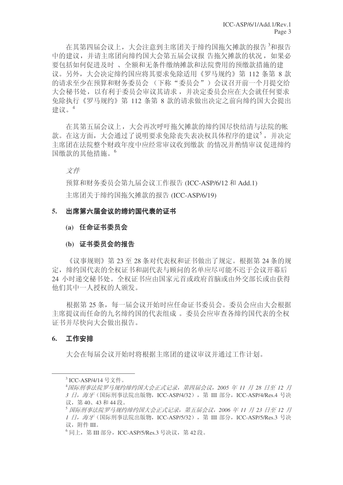在其第四届会议上,大会注意到主席团关于缔约国拖欠摊款的报告<sup>3</sup>和报告 中的建议,并请主席团向缔约国大会第五届会议报 告拖欠摊款的状况,如果必 要包括如何促进及时、全额和无条件缴纳摊款和法院费用的预缴款措施的建 议。另外, 大会决定缔约国应将其要求免除适用《罗马规约》第 112 条第 8 款 的请求至少在预算和财务委员会(下称"委员会")会议召开前一个月提交给 大会秘书处,以有利于委员会审议其请求,并决定委员会应在大会就任何要求 免除执行《罗马规约》第 112 条第 8 款的请求做出决定之前向缔约国大会提出 建议。4

在其第五届会议上,大会再次呼吁拖欠摊款的缔约国尽快结清与法院的帐 款。在这方面,大会通过了说明要求免除丧失表决权具体程序的建议<sup>5</sup>,并决定 主席团在法院整个财政年度中应经常审议收到缴款 的情况并酌情审议 促进缔约 国缴款的其他措施。<sup>6</sup>

# 文件

预算和财务委员会第九届会议工作报告 (ICC-ASP/6/12 和 Add.1)

主席团关于缔约国拖欠摊款的报告 (ICC-ASP/6/19)

#### 5. 出席第六届会议的缔约国代表的证书

## (a) 任命证书委员会

#### (b) 证书委员会的报告

《议事规则》第23至28条对代表权和证书做出了规定。根据第24条的规 定, 缔约国代表权证书和副代表与顾问的名单应尽可能不迟于会议开幕后 24 小时递交秘书处。全权证书应由国家元首或政府首脑或由外交部长或由获得 他们其中一人授权的人颁发。

根据第25条,每一届会议开始时应任命证书委员会。委员会应由大会根据 主席提议而任命的九名缔约国的代表组成。委员会应审查各缔约国代表的全权 证书并尽快向大会做出报告。

#### 6. 工作安排

大会在每届会议开始时将根据主席团的建议审议并通过工作计划。

<sup>&</sup>lt;sup>3</sup> ICC-ASP/4/14 号文件。

<sup>&</sup>lt;sup>4</sup>国际刑事法院罗马规约缔约国大会正式记录, 第四届会议, 2005 年 11 月 28 日至 12 月 3 日, 海牙(国际刑事法院出版物, ICC-ASP/4/32), 第 III 部分, ICC-ASP/4/Res.4 号决 议, 第40、43 和44 段。

<sup>5</sup> 国际刑事法院罗马规约缔约国大会正式记录, 第五届会议, 2006 年 11 月 23 日至 12 月 1 日, 海牙(国际刑事法院出版物, ICC-ASP/5/32), 第 III 部分, ICC-ASP/5/Res.3 号决 议, 附件 III。

 $^6$ 同上, 第 III 部分, ICC-ASP/5/Res.3 号决议, 第 42 段。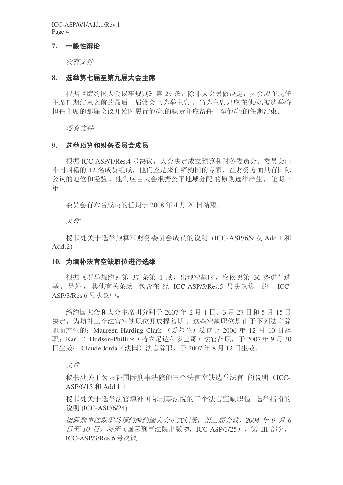ICC-ASP/6/1/Add.1/Rev.1 Page 4

#### 7. 一般性辩论

没有文件

#### 8. 选举第七届至第九届大会主席

根据《缔约国大会议事规则》第29条,除非大会另做决定,大会应在现任 主席任期结束之前的最后一届常会上选举主席。当选主席只应在他/她被选举将 担任主席的那届会议开始时履行他/她的职责并应留任直至他/她的任期结束。

没有文件

## 9. 洗举预算和财务委员会成员

根据 ICC-ASP/1/Res.4 号决议, 大会决定成立预算和财务委员会。委员会由 不同国籍的 12 名成员组成,他们应是来自缔约国的专家,在财务方面具有国际 公认的地位和经验。他们应由大会根据公平地域分配的原则选举产生, 任期三 年。

委员会有六名成员的任期于 2008 年 4 月 20 日结束。

文件

秘书处关于选举预算和财务委员会成员的说明 (ICC-ASP/6/9 及 Add.1 和  $Add.2)$ 

#### 10. 为填补法官空缺职位讲行选举

根据《罗马规约》第 37 条第 1 款, 出现空缺时, 应依照第 36 条讲行选 举。另外, 其他有关条款 包含在 经 ICC-ASP/5/Res.5 号决议修正的 ICC-ASP/3/Res.6 号决议中。

缔约国大会和大会主席团分别于 2007 年 2 月 1 日、3 月 27 日和 5 月 15 日 决定,为填补三个法官空缺职位开放提名期。这些空缺职位是由于下列法官辞 职而产生的: Maureen Harding Clark (爱尔兰) 法官于 2006 年 12 月 10 日辞 职: Karl T. Hudson-Phillips (特立尼达和多巴哥) 法官辞职, 干 2007年9月30 日生效; Claude Jorda (法国) 法官辞职, 于 2007 年 8 月 12 日生效。

文件

秘书处关于为填补国际刑事法院的三个法官空缺选举法官 的说明(ICC- $ASP/6/15$  和 Add.1 )

秘书处关于选举法官填补国际刑事法院的三个法官空缺职位 选举指南的 说明 (ICC-ASP/6/24)

**国际刑事法院罗马规约缔约国大会正式记录, 第三届会议, 2004 年 9 月 6 日至 10 日, 海牙** (国际刑事法院出版物, ICC-ASP/3/25), 第 III 部分,  $ICC-ASP/3/Res.6$  号决议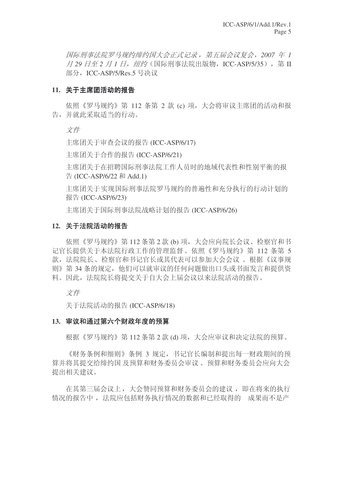**国际刑事法院罗马规约缔约国大会正式记录, 第五届会议复会, 2007 年 1** 月 29 日至 2 月 1 日, 纽约 (国际刑事法院出版物, ICC-ASP/5/35), 第 Ⅱ 部分, ICC-ASP/5/Res.5 号决议

#### 11. 关于主席团活动的报告

依照《罗马规约》第 112 条第 2 款 (c) 项, 大会将审议主席团的活动和报 告,并就此采取活当的行动。

文件

主席团关于审查会议的报告 (ICC-ASP/6/17)

主席团关于合作的报告 (ICC-ASP/6/21)

主席团关于在招聘国际刑事法院工作人员时的地域代表性和性别平衡的报  $\#$  (ICC-ASP/6/22 和 Add.1)

主席团关于实现国际刑事法院罗马规约的普遍性和充分执行的行动计划的 报告 (ICC-ASP/6/23)

主席团关于国际刑事法院战略计划的报告 (ICC-ASP/6/26)

## 12. 关于法院活动的报告

依照《罗马规约》第112 条第 2 款 (b) 项, 大会应向院长会议、检察官和书 记官长提供关于本法院行政工作的管理监督。依照《罗马规约》第 112 条第 5 款,法院院长、检察官和书记官长或其代表可以参加大会会议 。根据《议事规 则》第34条的规定,他们可以就审议的任何问题做出口头或书面发言和提供资 料。因此, 法院院长将提交关于自大会上届会议以来法院活动的报告。

文件

关于法院活动的报告 (ICC-ASP/6/18)

## 13. 审议和通过第六个财政年度的预算

根据《罗马规约》第112 条第 2 款 (d) 项, 大会应审议和决定法院的预算。

《财务条例和细则》条例 3 规定, 书记官长编制和提出每一财政期间的预 算并将其提交给缔约国及预算和财务委员会审议。预算和财务委员会应向大会 提出相关建议。

在其第三届会议上, 大会赞同预算和财务委员会的建议, 即在将来的执行 情况的报告中, 法院应包括财务执行情况的数据和已经取得的 成果而不是产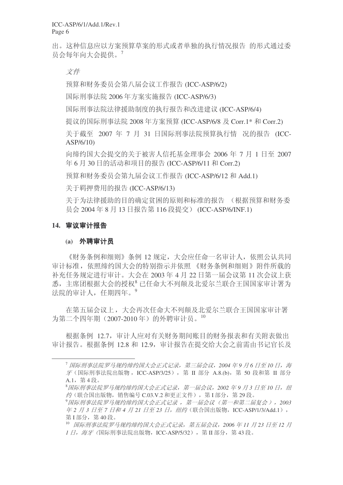出。这种信息应以方案预算草案的形式或者单独的执行情况报告 的形式通过委 员会每年向大会提供。<sup>7</sup>

文件

预算和财务委员会第八届会议工作报告 (ICC-ASP/6/2)

国际刑事法院 2006 年方案实施报告 (ICC-ASP/6/3)

国际刑事法院法律援助制度的执行报告和改进建议 (ICC-ASP/6/4)

提议的国际刑事法院 2008 年方案预算 (ICC-ASP/6/8 及 Corr.1\* 和 Corr.2)

关于截至 2007 年 7 月 31 日国际刑事法院预算执行情 况的报告 (ICC-ASP/6/10)

向缔约国大会提交的关于被害人信托基金理事会 2006 年 7 月 1 日至 2007 年 6 月 30 日的活动和项目的报告 (ICC-ASP/6/11 和 Corr.2)

预算和财务委员会第九届会议工作报告 (ICC-ASP/6/12 和 Add.1)

关于羁押费用的报告 (ICC-ASP/6/13)

关于为法律援助的目的确定贫困的原则和标准的报告 (根据预算和财务委 员会 2004年8月13日报告第116 段提交) (ICC-ASP/6/INF.1)

#### 14. 审议审计报告

#### **(a)** 外聘审计员

《财务条例和细则》条例 12 规定, 大会应任命一名审计人, 依照公认共同 审计标准, 依照缔约国大会的特别指示并依照 《财务条例和细则》附件所载的 补充任务规定进行审计。大会在 2003 年 4 月 22 日第一届会议第 11 次会议上获 悉, 主席团根据大会的授权<sup>8</sup>已任命大不列颠及北爱尔兰联合王国国家审计署为 法院的审计人, 仟期四年。9

在第五届会议上,大会再次任命大不列颠及北爱尔兰联合王国国家审计署 为第二个四年期 (2007-2010年) 的外聘审计员。10

根据条例 12.7, 审计人应对有关财务期间账目的财务报表和有关附表做出 审计报告。根据条例 12.8 和 12.9, 审计报告在提交给大会之前需由书记官长及

<sup>&</sup>lt;sup>7</sup> 国际刑事法院罗马规约缔约国大会正式记录,第三届会议,2004 年9 月6 日至 10 日,海  $\mathcal F$  (国际刑事法院出版物, ICC-ASP/3/25), 第 Ⅱ 部分 A.8.(b), 第 50 段和第 Ⅱ 部分  $A.1,$ 第4段。

<sup>&</sup>lt;sup>8</sup> 国际刑事法院罗马规约缔约国大会正式记录, 第一届会议, 2002 年9 月 3 日至 10 日, 纽 约(联合国出版物, 销售编号 C.03.V.2 和更正文件), 第I 部分, 第 29段。

<sup>9&</sup>lt;del>国际刑事法院罗马规约缔约国大会正式记录,第一届会议(第一和第二届复会),2003</del> 车2 月3 日至7 日和4 月 21 日至 23 日, 纽约 (联合国出版物, ICC-ASP/1/3/Add.1), 第 $I$ 部分, 第 $40$ 段。

<sup>10</sup> 国际刑事法院罗马规约缔约国大会正式记录, 第五届会议, 2006 年 11 月 23 日至 12 月 1 日, 海牙 (国际刑事法院出版物, ICC-ASP/5/32), 第Ⅱ部分, 第43段。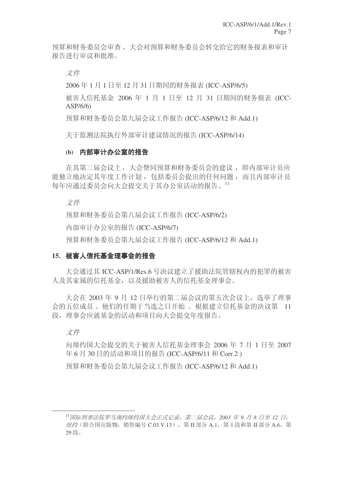预算和财务委员会转交给它的财务报表和审计 报告讲行审议和批准。

文件

2006年1月1日至12月31日期间的财务报表 (ICC-ASP/6/5)

被害人信托基金 2006 年 1 月 1 日至 12 月 31 日期间的财务报表 (ICC-ASP/6/6)

预算和财务委员会第九届会议工作报告 (ICC-ASP/6/12 和 Add.1)

关于监测法院执行外部审计建议情况的报告 (ICC-ASP/6/14)

## (b) 内部审计办公室的报告

在其第二届会议上, 大会赞同预算和财务委员会的建议, 即内部审计员应 能独立地决定其年度工作计划, 包括委员会提出的任何问题, 而且内部审计员 每年应通过委员会向大会提交关于其办公室活动的报告。11

立件

预算和财务委员会第八届会议工作报告 (ICC-ASP/6/2)

内部审计办公室的报告 (ICC-ASP/6/7)

预算和财务委员会第九届会议工作报告 (ICC-ASP/6/12 和 Add.1)

## 15. 被害人信托基金理事会的报告

大会通过其 ICC-ASP/1/Res.6 号决议建立了援助法院管辖权内的犯罪的被害 人及其家属的信托基金,以及援助被害人的信托基金理事会。

大会在 2003 年 9 月 12 日举行的第二届会议的第五次会议上, 选举了理事 会的五位成员。他们的任期于当选之日开始。根据建立信托基金的决议第 11 段, 理事会应就基金的活动和项目向大会提交年度报告。

# 文件

向缔约国大会提交的关于被害人信托基金理事会  $2006 \, \text{fm}$  7 月 1 日至 2007 年 6 月 30 日的活动和项目的报告 (ICC-ASP/6/11 和 Corr.2)

预算和财务委员会第九届会议工作报告 (ICC-ASP/6/12 和 Add.1)

<sup>11</sup> 国际刑事法院罗马规约缔约国大会正式记录, 第二届会议, 2003 年 9 月 8 日至 12 日, 纽约 (联合国出版物, 销售编号 C.03.V.13), 第Ⅱ部分 A.1, 第1段和第Ⅱ部分 A.6, 第 29段。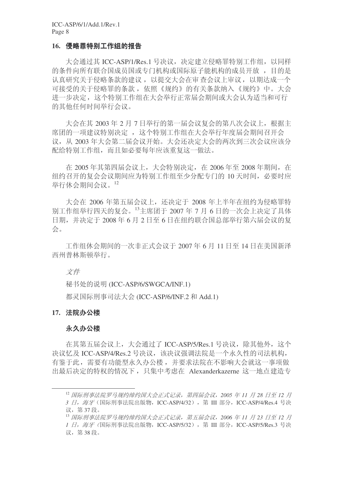#### 16. 侵略罪特别工作组的报告

大会通过其 ICC-ASP/1/Res.1 号决议, 决定建立侵略罪特别工作组, 以同样 的条件向所有联合国成员国或专门机构或国际原子能机构的成员开放, 目的是 认真研究关于侵略条款的建议,以提交大会在审查会议上审议,以期达成一个 可接受的关于侵略罪的条款, 依照《规约》的有关条款纳入《规约》中。大会 进一步决定, 这个特别工作组在大会举行正常届会期间或大会认为适当和可行 的基他任何时间举行会议。

大会在其 2003年2月7日举行的第一届会议复会的第八次会议上, 根据主 席团的一项建议特别决定, 这个特别工作组在大会举行年度届会期间召开会 议, 从 2003 年大会第二届会议开始。大会还决定大会的两次到三次会议应该分 配给特别工作组,而且如必要每年应该重复这一做法。

在 2005 年其第四届会议上, 大会特别决定, 在 2006 年至 2008 年期间, 在 纽约召开的复会会议期间应为特别工作组至少分配专门的 10 天时间, 必要时应 举行休会期间会议。12

大会在 2006 年第五届会议上, 还决定于 2008 年上半年在纽约为侵略罪特 别工作组举行四天的复会。13主席团于 2007 年 7 月 6 日的一次会上决定了具体 日期, 并决定于 2008年6月2日至6日在纽约联合国总部举行第六届会议的复 会。

工作组休会期间的一次非正式会议于 2007 年 6 月 11 日至 14 日在美国新泽 西州普林斯顿举行。

文件

秘书处的说明 (ICC-ASP/6/SWGCA/INF.1)

都灵国际刑事司法大会 (ICC-ASP/6/INF.2 和 Add.1)

## 17. 法院办公楼

#### 永久办公楼

在其第五届会议上, 大会通过了 ICC-ASP/5/Res.1 号决议, 除其他外, 这个 决议忆及 ICC-ASP/4/Res.2 号决议, 该决议强调法院是一个永久性的司法机构, 有鉴于此, 需要有功能型永久办公楼, 并要求法院在不影响大会就这一事项做 出最后决定的特权的情况下, 只集中考虑在 Alexanderkazerne 这一地点建造专

<sup>&</sup>lt;sup>12</sup> 国际刑事法院罗马规约缔约国大会正式记录, 第四届会议, 2005 年 11 月 28 日至 12 月 3 日, 海牙(国际刑事法院出版物, ICC-ASP/4/32), 第 III 部分, ICC-ASP/4/Res.4 号决 议, 第37段。

<sup>&</sup>lt;sup>13</sup> 国际刑事法院罗马规约缔约国大会正式记录, 第五届会议, 2006 年 11 月 23 日至 12 月 *1 日, 海牙(*国际刑事法院出版物, ICC-ASP/5/32), 第 III 部分, ICC-ASP/5/Res.3 号决 议, 第38段。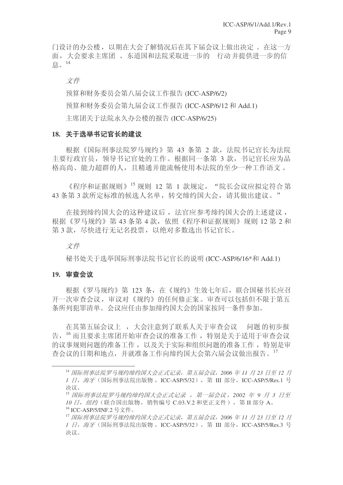门设计的办公楼, 以期在大会了解情况后在其下届会议上做出决定。在这一方 面, 大会要求主席团、东道国和法院采取讲一步的 行动 并提供讲一步的信 息 $<sup>14</sup>$ </sup>

立件

预算和财务委员会第八届会议工作报告 (ICC-ASP/6/2) 预算和财务委员会第九届会议工作报告 (ICC-ASP/6/12 和 Add.1) 主席团关于法院永久办公楼的报告 (ICC-ASP/6/25)

## 18. 关于选举书记官长的建议

根据《国际刑事法院罗马规约》第 43 条第 2 款, 法院书记官长为法院 主要行政官员, 领导书记官处的工作。根据同一条第 3 款, 书记官长应为品 格高尚、能力超群的人, 目精通并能流畅使用本法院的至少一种工作语文。

《程序和证据规则》15 规则 12 第 1 款规定, "院长会议应拟定符合第 43 条第 3 款所定标准的候选人名单, 转交缔约国大会, 请其做出建议。"

在接到缔约国大会的这种建议后, 法官应参考缔约国大会的上述建议, 根据《罗马规约》第43条第4款,依照《程序和证据规则》规则12 第2和 第3款, 尽快讲行无记名投票, 以绝对多数选出书记官长。

文件

秘书处关于选举国际刑事法院书记官长的说明 (ICC-ASP/6/16\*和 Add.1)

## 19. 宙杳会议

根据《罗马规约》第 123 条, 在《规约》生效七年后, 联合国秘书长应召 开一次审查会议,审议对《规约》的任何修正案。审查可以包括但不限于第五 条所列犯罪清单。会议应任由参加缔约国大会的国家按同一条件参加。

在其第五届会议上,大会注意到了联系人关于审查会议 问题的初步报 告, 16 而且要求主席团开始审查会议的准备工作, 特别是关于适用于审查会议 的议事规则问题的准备工作, 以及关于实际和组织问题的准备工作, 特别是审 杳会议的日期和地点,并就准备工作向缔约国大会第六届会议做出报告。17

<sup>&</sup>lt;sup>14</sup> 国际刑事法院罗马规约缔约国大会正式记录, 第五届会议, 2006 年 11 月 23 日至 12 月 1 日, 海牙(国际刑事法院出版物, ICC-ASP/5/32), 第 Ⅲ 部分, ICC-ASP/5/Res.1 号 决议。

<sup>15</sup> 国际刑事法院罗马规约缔约国大会正式记录,第一届会议,2002 年 9 月 3 日至 10 日, 纽约(联合国出版物, 销售编号 C.03.V.2 和更正文件), 第Ⅱ部分 A。 <sup>16</sup> ICC-ASP/5/INF.2 号文件。

<sup>&</sup>lt;sup>17</sup> 国际刑事法院罗马规约缔约国大会正式记录, 第五届会议, 2006 年 11 月 23 日至 12 月 *1 日, 海牙*(国际刑事法院出版物, ICC-ASP/5/32), 第 Ⅲ 部分, ICC-ASP/5/Res.3 号 决议。